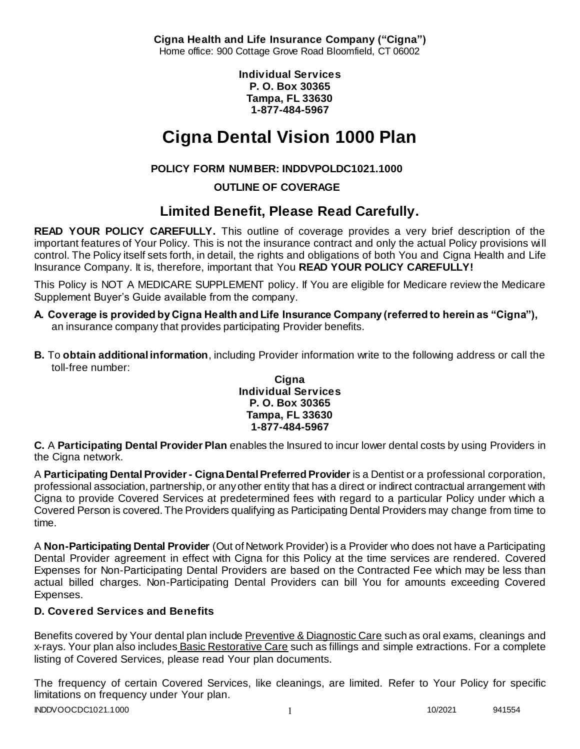**Cigna Health and Life Insurance Company ("Cigna")** Home office: 900 Cottage Grove Road Bloomfield, CT 06002

> **Individual Services P. O. Box 30365 Tampa, FL 33630 1-877-484-5967**

# **Cigna Dental Vision 1000 Plan**

# **POLICY FORM NUMBER: INDDVPOLDC1021.1000**

**OUTLINE OF COVERAGE** 

# **Limited Benefit, Please Read Carefully.**

**READ YOUR POLICY CAREFULLY.** This outline of coverage provides a very brief description of the important features of Your Policy. This is not the insurance contract and only the actual Policy provisions will control. The Policy itself sets forth, in detail, the rights and obligations of both You and Cigna Health and Life Insurance Company. It is, therefore, important that You **READ YOUR POLICY CAREFULLY!** 

This Policy is NOT A MEDICARE SUPPLEMENT policy. If You are eligible for Medicare review the Medicare Supplement Buyer's Guide available from the company.

- **A. Coverage is provided by Cigna Health and Life Insurance Company (referred to herein as "Cigna"),**  an insurance company that provides participating Provider benefits.
- **B.** To **obtain additional information**, including Provider information write to the following address or call the toll-free number:

### **Cigna Individual Services P. O. Box 30365 Tampa, FL 33630 1-877-484-5967**

**C.** A **Participating Dental Provider Plan** enables the Insured to incur lower dental costs by using Providers in the Cigna network.

A **Participating Dental Provider - Cigna Dental Preferred Provider** is a Dentist or a professional corporation, professional association, partnership, or any other entity that has a direct or indirect contractual arrangement with Cigna to provide Covered Services at predetermined fees with regard to a particular Policy under which a Covered Person is covered. The Providers qualifying as Participating Dental Providers may change from time to time.

A **Non-Participating Dental Provider** (Out of Network Provider) is a Provider who does not have a Participating Dental Provider agreement in effect with Cigna for this Policy at the time services are rendered. Covered Expenses for Non-Participating Dental Providers are based on the Contracted Fee which may be less than actual billed charges. Non-Participating Dental Providers can bill You for amounts exceeding Covered Expenses.

# **D. Covered Services and Benefits**

Benefits covered by Your dental plan include Preventive & Diagnostic Care such as oral exams, cleanings and x-rays. Your plan also includes Basic Restorative Care such as fillings and simple extractions. For a complete listing of Covered Services, please read Your plan documents.

The frequency of certain Covered Services, like cleanings, are limited. Refer to Your Policy for specific limitations on frequency under Your plan.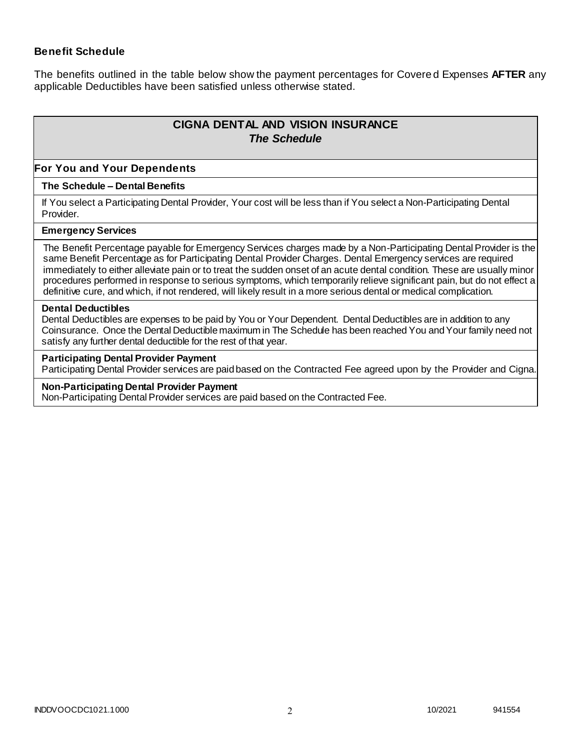### **Benefit Schedule**

The benefits outlined in the table below show the payment percentages for Covere d Expenses **AFTER** any applicable Deductibles have been satisfied unless otherwise stated.

# **CIGNA DENTAL AND VISION INSURANCE** *The Schedule*

#### **For You and Your Dependents**

#### **The Schedule – Dental Benefits**

If You select a Participating Dental Provider, Your cost will be less than if You select a Non-Participating Dental Provider.

#### **Emergency Services**

The Benefit Percentage payable for Emergency Services charges made by a Non-Participating Dental Provider is the same Benefit Percentage as for Participating Dental Provider Charges. Dental Emergency services are required immediately to either alleviate pain or to treat the sudden onset of an acute dental condition. These are usually minor procedures performed in response to serious symptoms, which temporarily relieve significant pain, but do not effect a definitive cure, and which, if not rendered, will likely result in a more serious dental or medical complication.

#### **Dental Deductibles**

Dental Deductibles are expenses to be paid by You or Your Dependent. Dental Deductibles are in addition to any Coinsurance. Once the Dental Deductible maximum in The Schedule has been reached You and Your family need not satisfy any further dental deductible for the rest of that year.

#### **Participating Dental Provider Payment**

Participating Dental Provider services are paid based on the Contracted Fee agreed upon by the Provider and Cigna.

#### **Non-Participating Dental Provider Payment**

Non-Participating Dental Provider services are paid based on the Contracted Fee.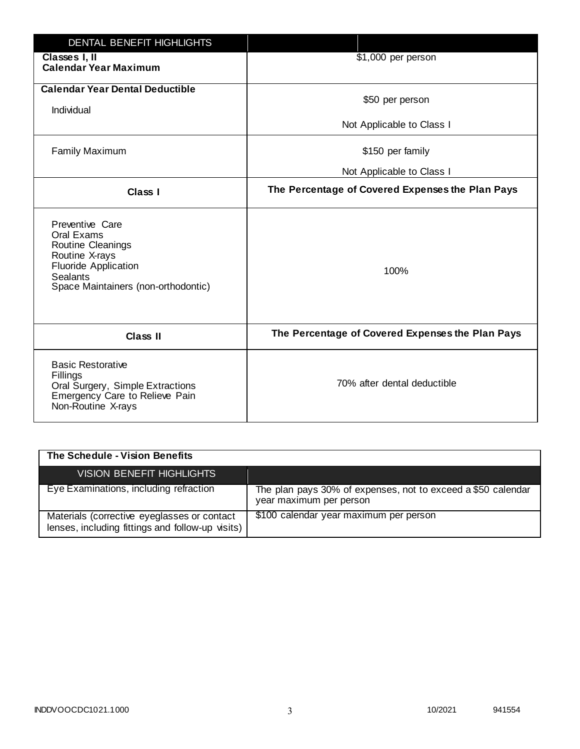| <b>DENTAL BENEFIT HIGHLIGHTS</b>                                                                                                                              |                                                  |
|---------------------------------------------------------------------------------------------------------------------------------------------------------------|--------------------------------------------------|
| Classes I, II<br><b>Calendar Year Maximum</b>                                                                                                                 | \$1,000 per person                               |
| <b>Calendar Year Dental Deductible</b><br>Individual                                                                                                          | \$50 per person                                  |
|                                                                                                                                                               | Not Applicable to Class I                        |
| <b>Family Maximum</b>                                                                                                                                         | \$150 per family                                 |
|                                                                                                                                                               | Not Applicable to Class I                        |
| <b>Class I</b>                                                                                                                                                | The Percentage of Covered Expenses the Plan Pays |
| Preventive Care<br>Oral Exams<br>Routine Cleanings<br>Routine X-rays<br><b>Fluoride Application</b><br><b>Sealants</b><br>Space Maintainers (non-orthodontic) | 100%                                             |
| <b>Class II</b>                                                                                                                                               | The Percentage of Covered Expenses the Plan Pays |
| <b>Basic Restorative</b><br>Fillings<br>Oral Surgery, Simple Extractions<br>Emergency Care to Relieve Pain<br>Non-Routine X-rays                              | 70% after dental deductible                      |

| The Schedule - Vision Benefits                                                                  |                                                                                         |
|-------------------------------------------------------------------------------------------------|-----------------------------------------------------------------------------------------|
| <b>VISION BENEFIT HIGHLIGHTS,</b>                                                               |                                                                                         |
| Eye Examinations, including refraction                                                          | The plan pays 30% of expenses, not to exceed a \$50 calendar<br>year maximum per person |
| Materials (corrective eyeglasses or contact<br>lenses, including fittings and follow-up visits) | \$100 calendar year maximum per person                                                  |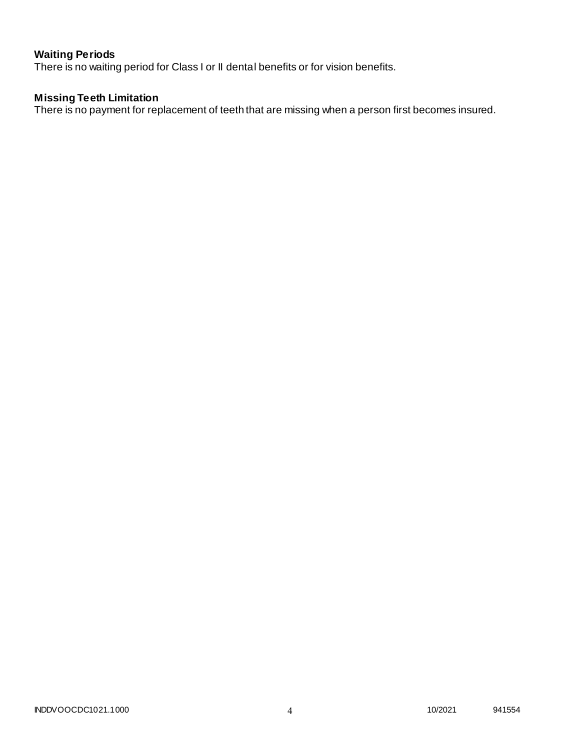# **Waiting Periods**

There is no waiting period for Class I or II dental benefits or for vision benefits.

# **Missing Teeth Limitation**

There is no payment for replacement of teeth that are missing when a person first becomes insured.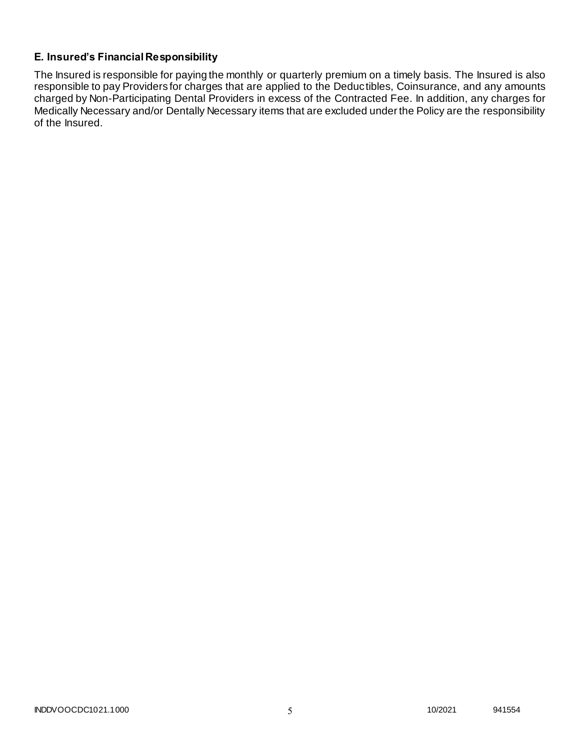# **E. Insured's Financial Responsibility**

The Insured is responsible for paying the monthly or quarterly premium on a timely basis. The Insured is also responsible to pay Providers for charges that are applied to the Deductibles, Coinsurance, and any amounts charged by Non-Participating Dental Providers in excess of the Contracted Fee. In addition, any charges for Medically Necessary and/or Dentally Necessary items that are excluded under the Policy are the responsibility of the Insured.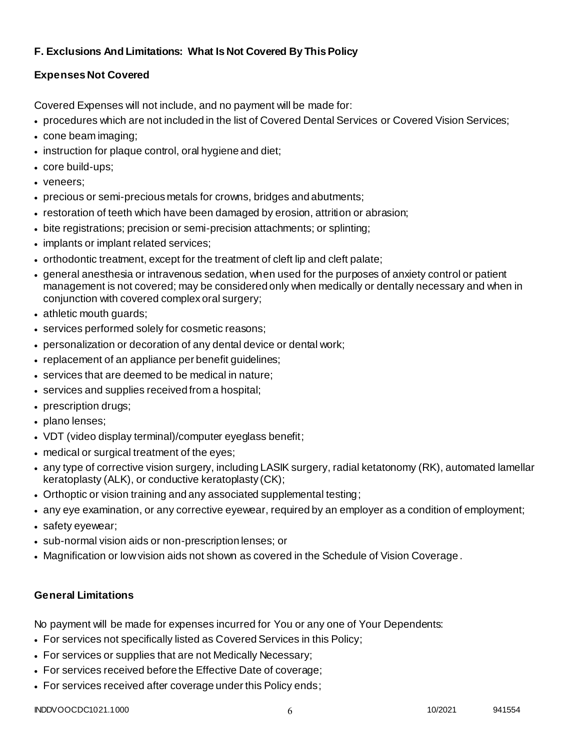# **F. Exclusions And Limitations: What Is Not Covered By This Policy**

# **Expenses Not Covered**

Covered Expenses will not include, and no payment will be made for:

- procedures which are not included in the list of Covered Dental Services or Covered Vision Services;
- cone beam imaging;
- instruction for plaque control, oral hygiene and diet;
- core build-ups;
- veneers;
- precious or semi-precious metals for crowns, bridges and abutments;
- restoration of teeth which have been damaged by erosion, attrition or abrasion;
- bite registrations; precision or semi-precision attachments; or splinting;
- implants or implant related services;
- orthodontic treatment, except for the treatment of cleft lip and cleft palate;
- general anesthesia or intravenous sedation, when used for the purposes of anxiety control or patient management is not covered; may be considered only when medically or dentally necessary and when in conjunction with covered complex oral surgery;
- athletic mouth guards;
- services performed solely for cosmetic reasons;
- personalization or decoration of any dental device or dental work;
- replacement of an appliance per benefit quidelines;
- services that are deemed to be medical in nature;
- services and supplies received from a hospital;
- prescription drugs;
- plano lenses;
- VDT (video display terminal)/computer eyeglass benefit;
- medical or surgical treatment of the eyes;
- any type of corrective vision surgery, including LASIK surgery, radial ketatonomy (RK), automated lamellar keratoplasty (ALK), or conductive keratoplasty (CK);
- Orthoptic or vision training and any associated supplemental testing;
- any eye examination, or any corrective eyewear, required by an employer as a condition of employment;
- safety eyewear;
- sub-normal vision aids or non-prescription lenses; or
- Magnification or low vision aids not shown as covered in the Schedule of Vision Coverage.

# **General Limitations**

No payment will be made for expenses incurred for You or any one of Your Dependents:

- For services not specifically listed as Covered Services in this Policy;
- For services or supplies that are not Medically Necessary;
- For services received before the Effective Date of coverage;
- For services received after coverage under this Policy ends;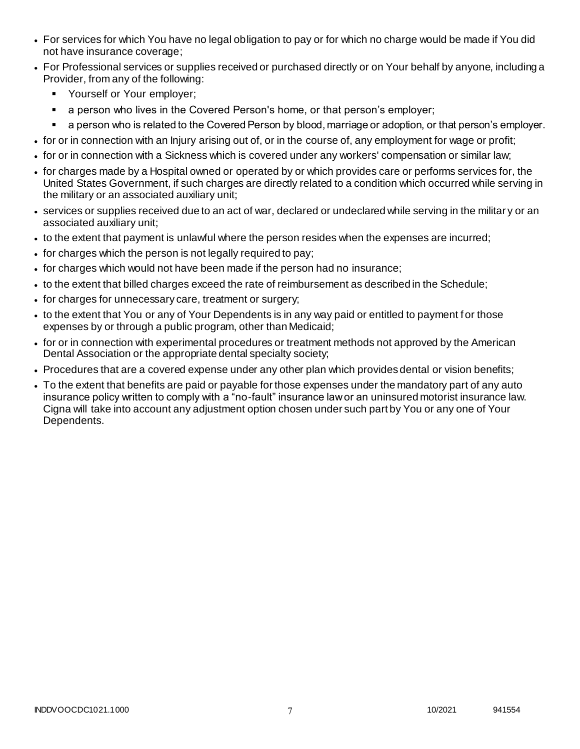- For services for which You have no legal obligation to pay or for which no charge would be made if You did not have insurance coverage;
- For Professional services or supplies received or purchased directly or on Your behalf by anyone, including a Provider, from any of the following:
	- **•** Yourself or Your employer;
	- **a** person who lives in the Covered Person's home, or that person's employer;
	- a person who is related to the Covered Person by blood, marriage or adoption, or that person's employer.
- for or in connection with an Injury arising out of, or in the course of, any employment for wage or profit;
- for or in connection with a Sickness which is covered under any workers' compensation or similar law;
- for charges made by a Hospital owned or operated by or which provides care or performs services for, the United States Government, if such charges are directly related to a condition which occurred while serving in the military or an associated auxiliary unit;
- services or supplies received due to an act of war, declared or undeclared while serving in the militar y or an associated auxiliary unit;
- to the extent that payment is unlawful where the person resides when the expenses are incurred;
- for charges which the person is not legally required to pay;
- for charges which would not have been made if the person had no insurance;
- to the extent that billed charges exceed the rate of reimbursement as described in the Schedule;
- for charges for unnecessary care, treatment or surgery;
- to the extent that You or any of Your Dependents is in any way paid or entitled to payment for those expenses by or through a public program, other than Medicaid;
- for or in connection with experimental procedures or treatment methods not approved by the American Dental Association or the appropriate dental specialty society;
- Procedures that are a covered expense under any other plan which provides dental or vision benefits;
- To the extent that benefits are paid or payable for those expenses under the mandatory part of any auto insurance policy written to comply with a "no-fault" insurance law or an uninsured motorist insurance law. Cigna will take into account any adjustment option chosen under such part by You or any one of Your Dependents.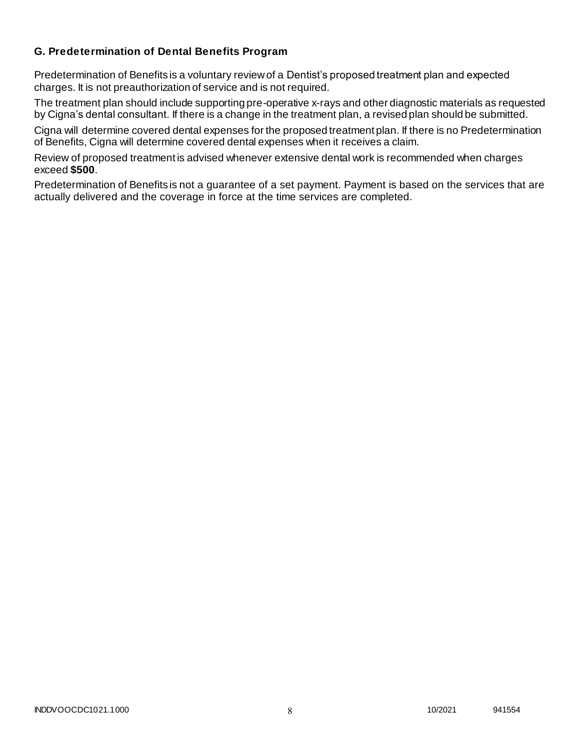## **G. Predetermination of Dental Benefits Program**

Predetermination of Benefits is a voluntary review of a Dentist's proposed treatment plan and expected charges. It is not preauthorization of service and is not required.

The treatment plan should include supporting pre-operative x-rays and other diagnostic materials as requested by Cigna's dental consultant. If there is a change in the treatment plan, a revised plan should be submitted.

Cigna will determine covered dental expenses for the proposed treatment plan. If there is no Predetermination of Benefits, Cigna will determine covered dental expenses when it receives a claim.

Review of proposed treatment is advised whenever extensive dental work is recommended when charges exceed **\$500**.

Predetermination of Benefits is not a guarantee of a set payment. Payment is based on the services that are actually delivered and the coverage in force at the time services are completed.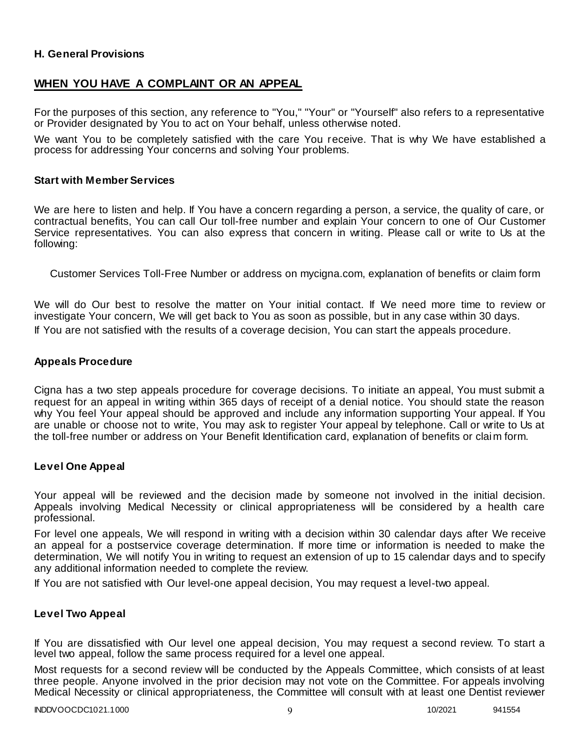### **H. General Provisions**

# **WHEN YOU HAVE A COMPLAINT OR AN APPEAL**

For the purposes of this section, any reference to "You," "Your" or "Yourself" also refers to a representative or Provider designated by You to act on Your behalf, unless otherwise noted.

We want You to be completely satisfied with the care You receive. That is why We have established a process for addressing Your concerns and solving Your problems.

### **Start with Member Services**

We are here to listen and help. If You have a concern regarding a person, a service, the quality of care, or contractual benefits, You can call Our toll-free number and explain Your concern to one of Our Customer Service representatives. You can also express that concern in writing. Please call or write to Us at the following:

Customer Services Toll-Free Number or address on mycigna.com, explanation of benefits or claim form

We will do Our best to resolve the matter on Your initial contact. If We need more time to review or investigate Your concern, We will get back to You as soon as possible, but in any case within 30 days. If You are not satisfied with the results of a coverage decision, You can start the appeals procedure.

### **Appeals Procedure**

Cigna has a two step appeals procedure for coverage decisions. To initiate an appeal, You must submit a request for an appeal in writing within 365 days of receipt of a denial notice. You should state the reason why You feel Your appeal should be approved and include any information supporting Your appeal. If You are unable or choose not to write, You may ask to register Your appeal by telephone. Call or write to Us at the toll-free number or address on Your Benefit Identification card, explanation of benefits or claim form.

### **Level One Appeal**

Your appeal will be reviewed and the decision made by someone not involved in the initial decision. Appeals involving Medical Necessity or clinical appropriateness will be considered by a health care professional.

For level one appeals, We will respond in writing with a decision within 30 calendar days after We receive an appeal for a postservice coverage determination. If more time or information is needed to make the determination, We will notify You in writing to request an extension of up to 15 calendar days and to specify any additional information needed to complete the review.

If You are not satisfied with Our level-one appeal decision, You may request a level-two appeal.

### **Level Two Appeal**

If You are dissatisfied with Our level one appeal decision, You may request a second review. To start a level two appeal, follow the same process required for a level one appeal.

Most requests for a second review will be conducted by the Appeals Committee, which consists of at least three people. Anyone involved in the prior decision may not vote on the Committee. For appeals involving Medical Necessity or clinical appropriateness, the Committee will consult with at least one Dentist reviewer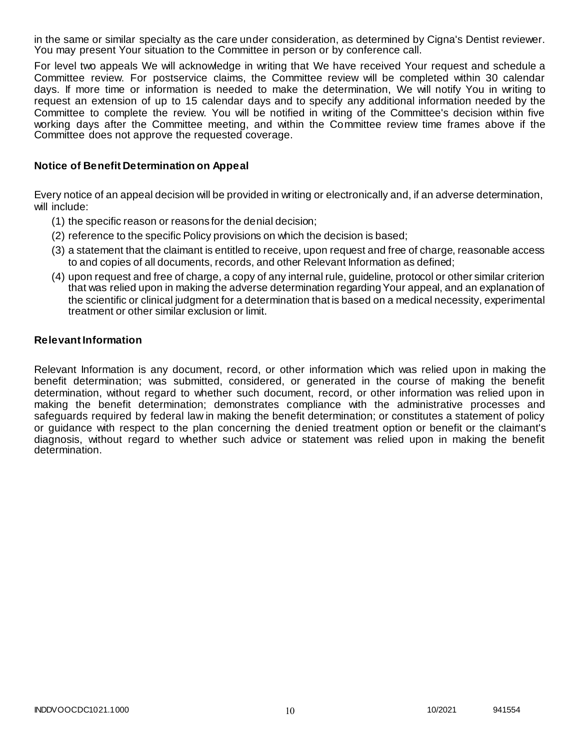in the same or similar specialty as the care under consideration, as determined by Cigna's Dentist reviewer. You may present Your situation to the Committee in person or by conference call.

For level two appeals We will acknowledge in writing that We have received Your request and schedule a Committee review. For postservice claims, the Committee review will be completed within 30 calendar days. If more time or information is needed to make the determination, We will notify You in writing to request an extension of up to 15 calendar days and to specify any additional information needed by the Committee to complete the review. You will be notified in writing of the Committee's decision within five working days after the Committee meeting, and within the Committee review time frames above if the Committee does not approve the requested coverage.

### **Notice of Benefit Determination on Appeal**

Every notice of an appeal decision will be provided in writing or electronically and, if an adverse determination, will include:

- (1) the specific reason or reasons for the denial decision;
- (2) reference to the specific Policy provisions on which the decision is based;
- (3) a statement that the claimant is entitled to receive, upon request and free of charge, reasonable access to and copies of all documents, records, and other Relevant Information as defined;
- (4) upon request and free of charge, a copy of any internal rule, guideline, protocol or other similar criterion that was relied upon in making the adverse determination regarding Your appeal, and an explanation of the scientific or clinical judgment for a determination that is based on a medical necessity, experimental treatment or other similar exclusion or limit.

### **Relevant Information**

Relevant Information is any document, record, or other information which was relied upon in making the benefit determination; was submitted, considered, or generated in the course of making the benefit determination, without regard to whether such document, record, or other information was relied upon in making the benefit determination; demonstrates compliance with the administrative processes and safeguards required by federal law in making the benefit determination; or constitutes a statement of policy or guidance with respect to the plan concerning the denied treatment option or benefit or the claimant's diagnosis, without regard to whether such advice or statement was relied upon in making the benefit determination.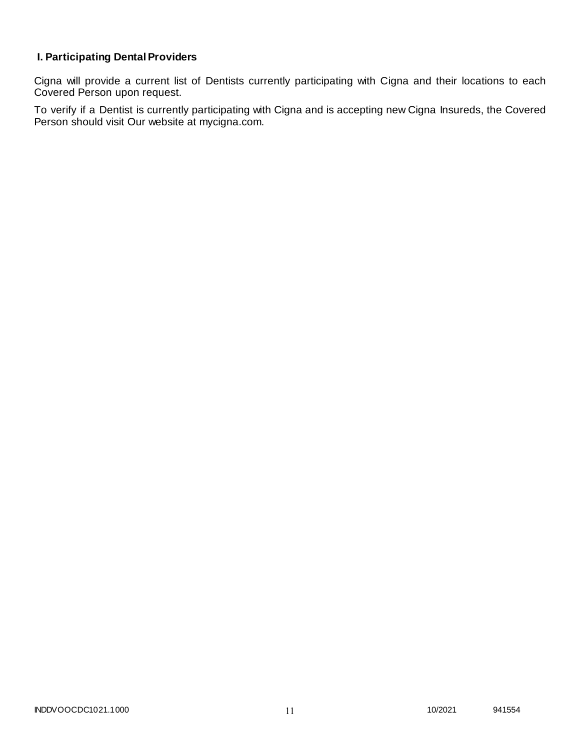# **I. Participating Dental Providers**

Cigna will provide a current list of Dentists currently participating with Cigna and their locations to each Covered Person upon request.

To verify if a Dentist is currently participating with Cigna and is accepting new Cigna Insureds, the Covered Person should visit Our website at mycigna.com.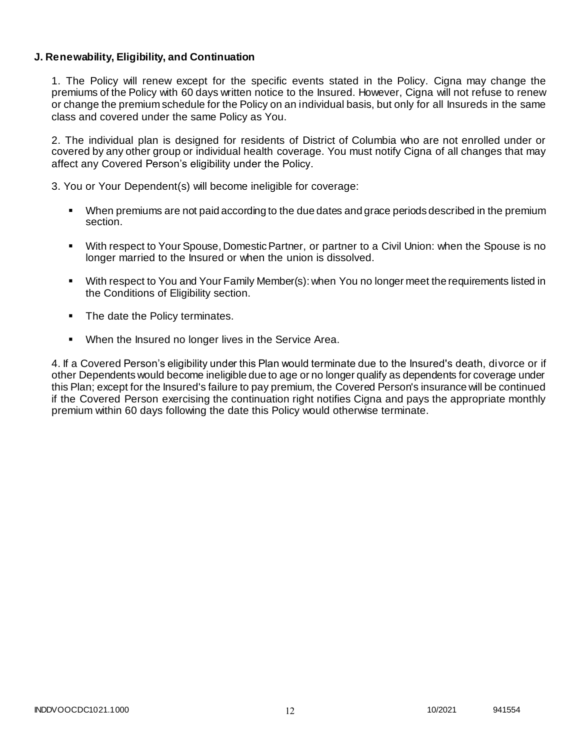### **J. Renewability, Eligibility, and Continuation**

1. The Policy will renew except for the specific events stated in the Policy. Cigna may change the premiums of the Policy with 60 days written notice to the Insured. However, Cigna will not refuse to renew or change the premium schedule for the Policy on an individual basis, but only for all Insureds in the same class and covered under the same Policy as You.

2. The individual plan is designed for residents of District of Columbia who are not enrolled under or covered by any other group or individual health coverage. You must notify Cigna of all changes that may affect any Covered Person's eligibility under the Policy.

3. You or Your Dependent(s) will become ineligible for coverage:

- When premiums are not paid according to the due dates and grace periods described in the premium section.
- With respect to Your Spouse, Domestic Partner, or partner to a Civil Union: when the Spouse is no longer married to the Insured or when the union is dissolved.
- With respect to You and Your Family Member(s): when You no longer meet the requirements listed in the Conditions of Eligibility section.
- The date the Policy terminates.
- When the Insured no longer lives in the Service Area.

4. If a Covered Person's eligibility under this Plan would terminate due to the Insured's death, divorce or if other Dependents would become ineligible due to age or no longer qualify as dependents for coverage under this Plan; except for the Insured's failure to pay premium, the Covered Person's insurance will be continued if the Covered Person exercising the continuation right notifies Cigna and pays the appropriate monthly premium within 60 days following the date this Policy would otherwise terminate.